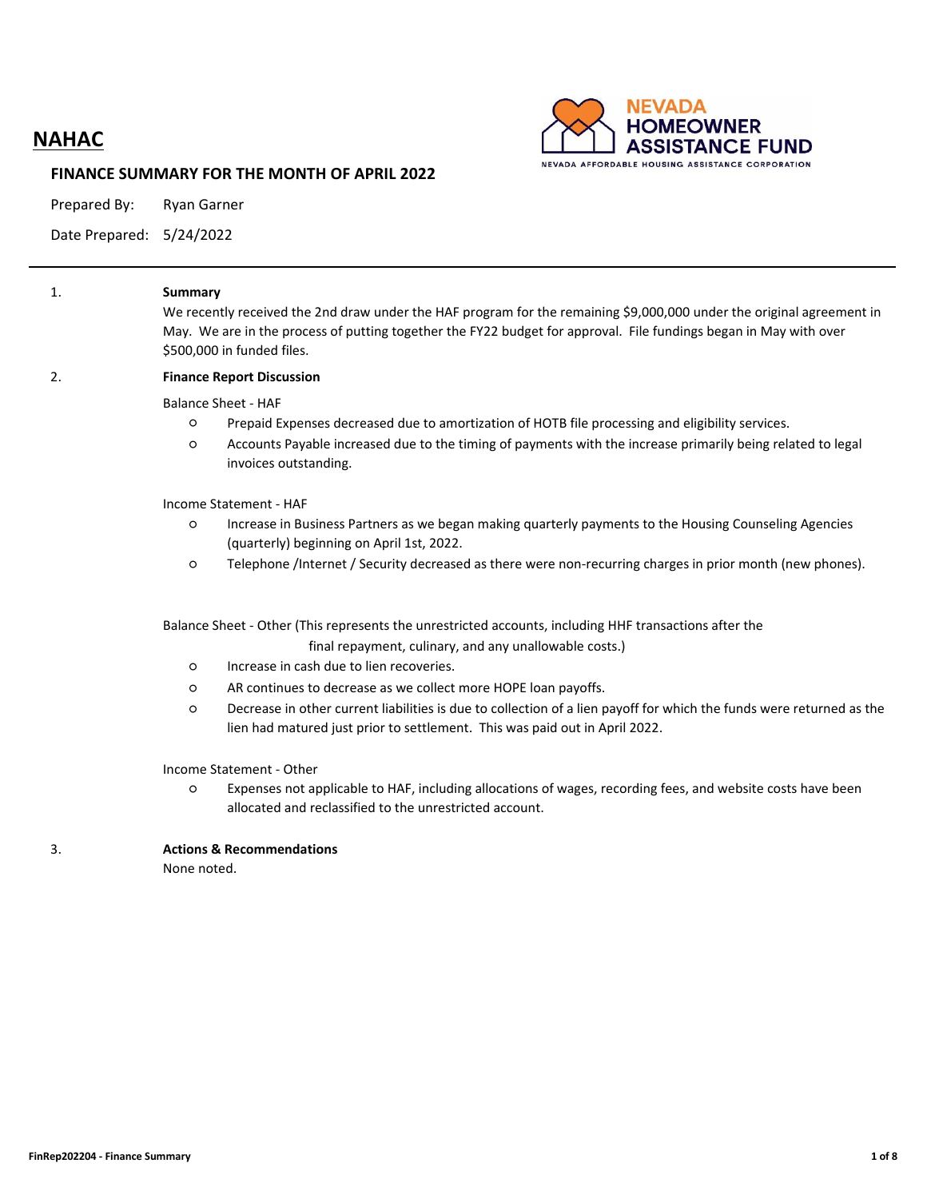# **NAHAC**



#### **FINANCE SUMMARY FOR THE MONTH OF APRIL 2022**

Prepared By: Ryan Garner

Date Prepared: 5/24/2022

| 1. | <b>Summary</b><br>We recently received the 2nd draw under the HAF program for the remaining \$9,000,000 under the original agreement in<br>May. We are in the process of putting together the FY22 budget for approval. File fundings began in May with over<br>\$500,000 in funded files. |
|----|--------------------------------------------------------------------------------------------------------------------------------------------------------------------------------------------------------------------------------------------------------------------------------------------|
| 2. | <b>Finance Report Discussion</b>                                                                                                                                                                                                                                                           |
|    | <b>Balance Sheet - HAF</b>                                                                                                                                                                                                                                                                 |
|    | Prepaid Expenses decreased due to amortization of HOTB file processing and eligibility services.<br>$\circ$                                                                                                                                                                                |
|    | Accounts Payable increased due to the timing of payments with the increase primarily being related to legal<br>$\circ$<br>invoices outstanding.                                                                                                                                            |
|    | Income Statement - HAF                                                                                                                                                                                                                                                                     |
|    | Increase in Business Partners as we began making quarterly payments to the Housing Counseling Agencies<br>$\circ$<br>(quarterly) beginning on April 1st, 2022.                                                                                                                             |
|    | Telephone /Internet / Security decreased as there were non-recurring charges in prior month (new phones).<br>$\circ$                                                                                                                                                                       |
|    | Balance Sheet - Other (This represents the unrestricted accounts, including HHF transactions after the                                                                                                                                                                                     |
|    | final repayment, culinary, and any unallowable costs.)                                                                                                                                                                                                                                     |
|    | Increase in cash due to lien recoveries.<br>$\circ$                                                                                                                                                                                                                                        |
|    | AR continues to decrease as we collect more HOPE loan payoffs.<br>O                                                                                                                                                                                                                        |
|    | Decrease in other current liabilities is due to collection of a lien payoff for which the funds were returned as the<br>$\circ$<br>lien had matured just prior to settlement. This was paid out in April 2022.                                                                             |
|    | Income Statement - Other                                                                                                                                                                                                                                                                   |
|    | Expenses not applicable to HAF, including allocations of wages, recording fees, and website costs have been<br>O<br>allocated and reclassified to the unrestricted account.                                                                                                                |
| 3. | <b>Actions &amp; Recommendations</b>                                                                                                                                                                                                                                                       |
|    | None noted.                                                                                                                                                                                                                                                                                |
|    |                                                                                                                                                                                                                                                                                            |
|    |                                                                                                                                                                                                                                                                                            |
|    |                                                                                                                                                                                                                                                                                            |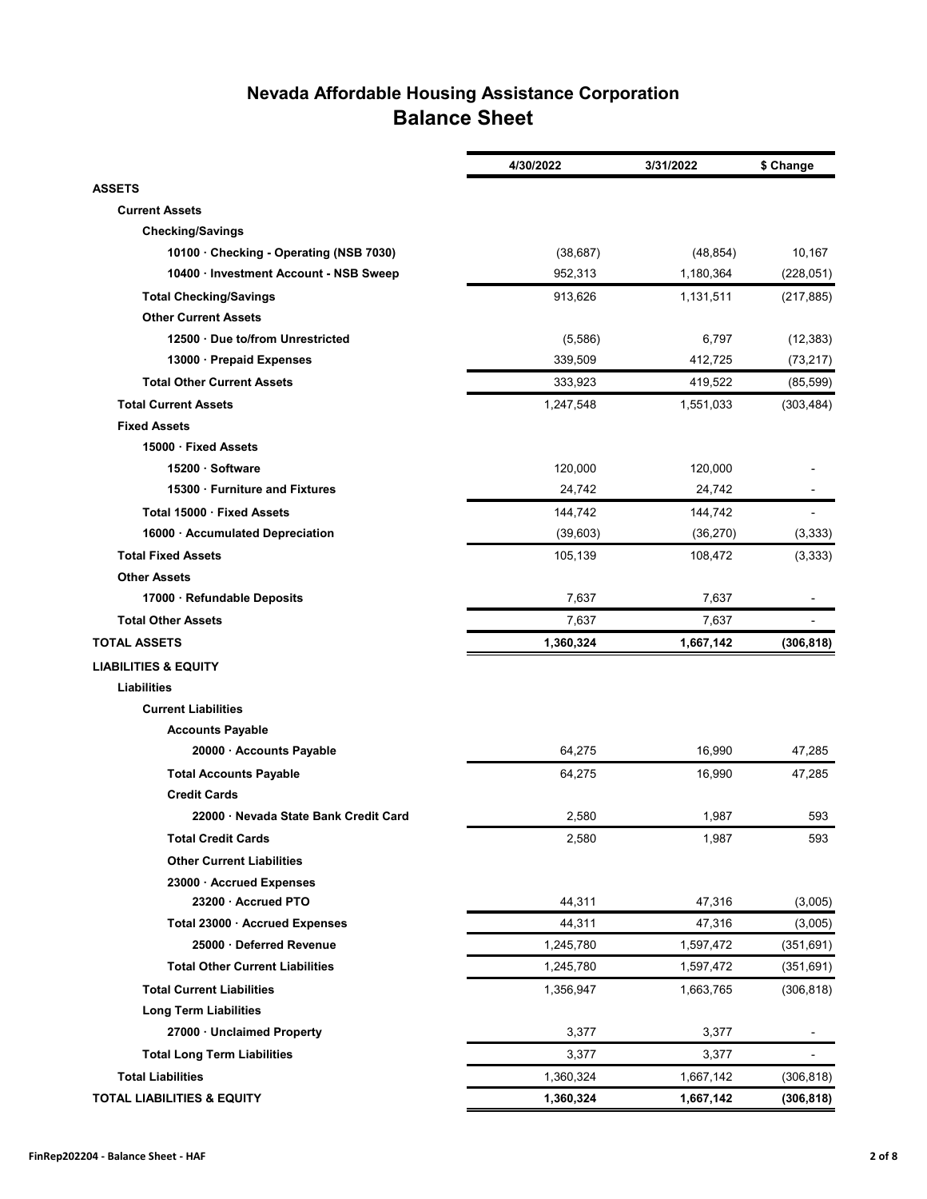## **Nevada Affordable Housing Assistance Corporation Balance Sheet**

|                                         | 4/30/2022 | 3/31/2022 | \$ Change      |
|-----------------------------------------|-----------|-----------|----------------|
| <b>ASSETS</b>                           |           |           |                |
| <b>Current Assets</b>                   |           |           |                |
| <b>Checking/Savings</b>                 |           |           |                |
| 10100 · Checking - Operating (NSB 7030) | (38, 687) | (48, 854) | 10,167         |
| 10400 · Investment Account - NSB Sweep  | 952,313   | 1,180,364 | (228, 051)     |
| <b>Total Checking/Savings</b>           | 913,626   | 1,131,511 | (217, 885)     |
| <b>Other Current Assets</b>             |           |           |                |
| 12500 · Due to/from Unrestricted        | (5,586)   | 6,797     | (12, 383)      |
| 13000 · Prepaid Expenses                | 339,509   | 412,725   | (73, 217)      |
| <b>Total Other Current Assets</b>       | 333,923   | 419,522   | (85, 599)      |
| <b>Total Current Assets</b>             | 1,247,548 | 1,551,033 | (303, 484)     |
| <b>Fixed Assets</b>                     |           |           |                |
| 15000 · Fixed Assets                    |           |           |                |
| 15200 · Software                        | 120,000   | 120,000   |                |
| 15300 · Furniture and Fixtures          | 24,742    | 24,742    |                |
| Total 15000 · Fixed Assets              | 144,742   | 144,742   | $\overline{a}$ |
| 16000 · Accumulated Depreciation        | (39, 603) | (36, 270) | (3, 333)       |
| <b>Total Fixed Assets</b>               | 105,139   | 108,472   | (3, 333)       |
| <b>Other Assets</b>                     |           |           |                |
| 17000 · Refundable Deposits             | 7,637     | 7,637     |                |
| <b>Total Other Assets</b>               | 7,637     | 7,637     |                |
| <b>TOTAL ASSETS</b>                     | 1,360,324 | 1,667,142 | (306, 818)     |
| <b>LIABILITIES &amp; EQUITY</b>         |           |           |                |
| <b>Liabilities</b>                      |           |           |                |
| <b>Current Liabilities</b>              |           |           |                |
| <b>Accounts Payable</b>                 |           |           |                |
| 20000 · Accounts Payable                | 64,275    | 16,990    | 47,285         |
| <b>Total Accounts Payable</b>           | 64,275    | 16,990    | 47,285         |
| <b>Credit Cards</b>                     |           |           |                |
| 22000 · Nevada State Bank Credit Card   | 2,580     | 1,987     | 593            |
| <b>Total Credit Cards</b>               | 2,580     | 1,987     | 593            |
| <b>Other Current Liabilities</b>        |           |           |                |
| 23000 · Accrued Expenses                |           |           |                |
| 23200 · Accrued PTO                     | 44,311    | 47,316    | (3,005)        |
| Total 23000 · Accrued Expenses          | 44,311    | 47,316    | (3,005)        |
| 25000 · Deferred Revenue                | 1,245,780 | 1,597,472 | (351, 691)     |
| <b>Total Other Current Liabilities</b>  | 1,245,780 | 1,597,472 | (351,691)      |
| <b>Total Current Liabilities</b>        | 1,356,947 | 1,663,765 | (306, 818)     |
| <b>Long Term Liabilities</b>            |           |           |                |
| 27000 · Unclaimed Property              | 3,377     | 3,377     |                |
| <b>Total Long Term Liabilities</b>      | 3,377     | 3,377     |                |
| <b>Total Liabilities</b>                | 1,360,324 | 1,667,142 | (306, 818)     |
| <b>TOTAL LIABILITIES &amp; EQUITY</b>   | 1,360,324 | 1,667,142 | (306, 818)     |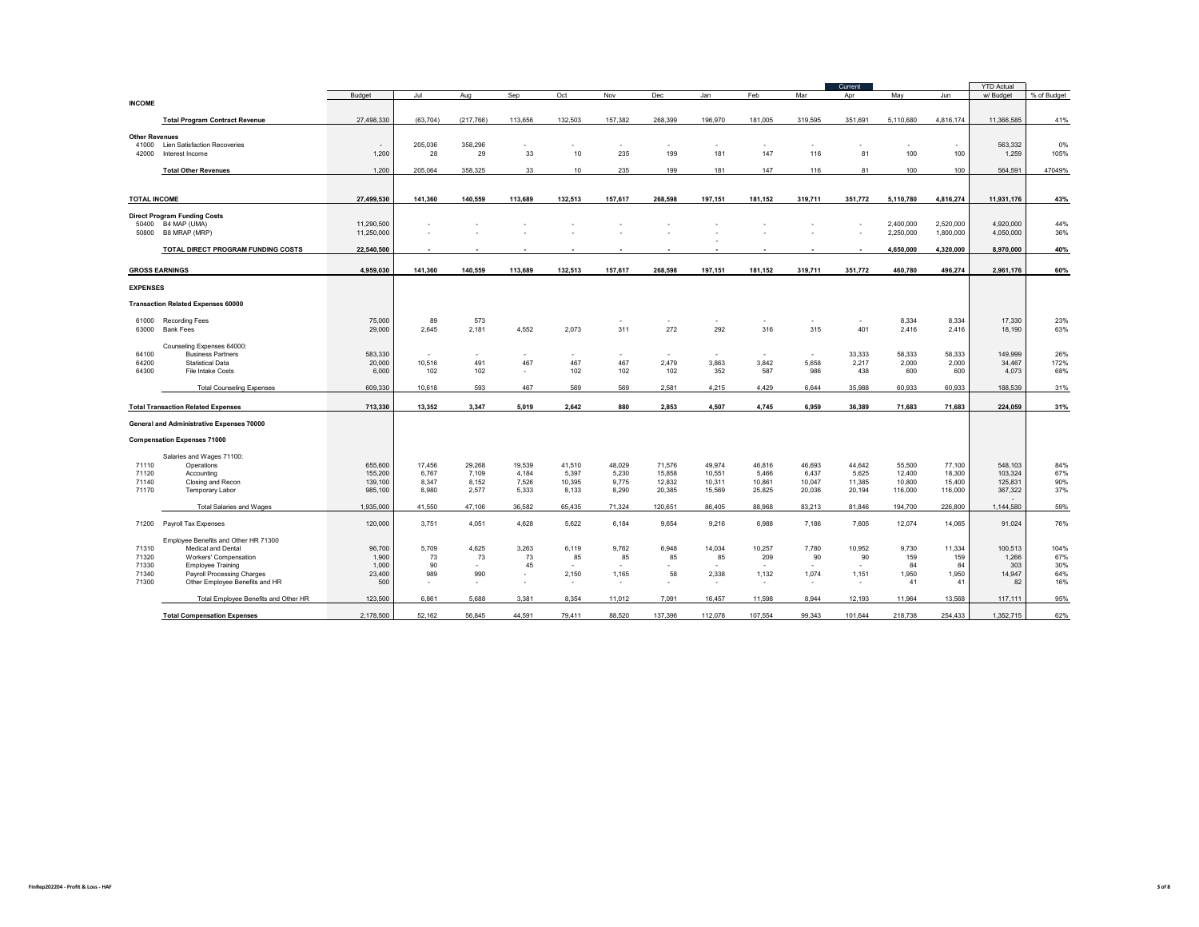|                       |                                                        |                          |                |                |                |                 |                 |                  |                  |                  |                  | Current          |                        |                        | <b>YTD Actual</b>      |             |
|-----------------------|--------------------------------------------------------|--------------------------|----------------|----------------|----------------|-----------------|-----------------|------------------|------------------|------------------|------------------|------------------|------------------------|------------------------|------------------------|-------------|
| <b>INCOME</b>         |                                                        | Budget                   | Jul            | Aug            | Sep            | Oct             | Nov             | <b>Dec</b>       | Jan              | Feb              | Mar              | Apr              | May                    | Jun                    | w/ Budget              | % of Budget |
|                       |                                                        |                          |                |                |                |                 |                 |                  |                  |                  |                  |                  |                        |                        |                        |             |
|                       | <b>Total Program Contract Revenue</b>                  | 27,498,330               | (63.704)       | (217, 766)     | 113,656        | 132.503         | 157.382         | 268.399          | 196.970          | 181,005          | 319,595          | 351.691          | 5.110.680              | 4.816.174              | 11,366,585             | 41%         |
| <b>Other Revenues</b> |                                                        |                          |                |                |                |                 |                 |                  |                  |                  |                  |                  |                        |                        |                        |             |
| 41000                 | <b>Lien Satisfaction Recoveries</b>                    | ٠                        | 205.036        | 358.296        |                |                 |                 |                  |                  |                  |                  | ٠                |                        |                        | 563.332                | 0%          |
| 42000                 | Interest Income                                        | 1,200                    | 28             | 29             | 33             | 10              | 235             | 199              | 181              | 147              | 116              | 81               | 100                    | 100                    | 1,259                  | 105%        |
|                       | <b>Total Other Revenues</b>                            | 1,200                    | 205,064        | 358,325        | 33             | 10              | 235             | 199              | 181              | 147              | 116              | 81               | 100                    | 100                    | 564,591                | 47049%      |
|                       |                                                        |                          |                |                |                |                 |                 |                  |                  |                  |                  |                  |                        |                        |                        |             |
| <b>TOTAL INCOME</b>   |                                                        | 27.499.530               | 141.360        | 140.559        | 113.689        | 132.513         | 157,617         | 268.598          | 197.151          | 181,152          | 319,711          | 351,772          |                        | 4,816,274              | 11,931,176             |             |
|                       |                                                        |                          |                |                |                |                 |                 |                  |                  |                  |                  |                  | 5,110,780              |                        |                        | 43%         |
|                       | <b>Direct Program Funding Costs</b>                    |                          |                |                |                |                 |                 |                  |                  |                  |                  |                  |                        |                        |                        |             |
| 50400<br>50800        | B4 MAP (UMA)<br>B8 MRAP (MRP)                          | 11,290,500<br>11,250,000 |                |                |                |                 |                 |                  |                  |                  |                  |                  | 2,400,000<br>2,250,000 | 2,520,000<br>1,800,000 | 4,920,000<br>4,050,000 | 44%<br>36%  |
|                       |                                                        |                          |                |                |                |                 |                 |                  |                  |                  |                  |                  |                        |                        |                        |             |
|                       | TOTAL DIRECT PROGRAM FUNDING COSTS                     | 22,540,500               |                |                |                |                 |                 |                  |                  |                  |                  |                  | 4,650,000              | 4,320,000              | 8,970,000              | 40%         |
|                       | <b>GROSS EARNINGS</b>                                  | 4,959,030                | 141,360        | 140,559        | 113,689        | 132,513         | 157,617         | 268,598          | 197,151          | 181,152          | 319,711          | 351,772          | 460,780                | 496,274                | 2,961,176              | 60%         |
| <b>EXPENSES</b>       |                                                        |                          |                |                |                |                 |                 |                  |                  |                  |                  |                  |                        |                        |                        |             |
|                       | <b>Transaction Related Expenses 60000</b>              |                          |                |                |                |                 |                 |                  |                  |                  |                  |                  |                        |                        |                        |             |
|                       |                                                        |                          |                |                |                |                 |                 |                  |                  |                  |                  |                  |                        |                        |                        |             |
| 61000                 | <b>Recording Fees</b>                                  | 75,000                   | 89             | 573            |                |                 |                 |                  | ٠                | ٠                | $\sim$           | $\sim$           | 8,334                  | 8,334                  | 17,330                 | 23%         |
| 63000                 | <b>Bank Fees</b>                                       | 29,000                   | 2,645          | 2,181          | 4,552          | 2,073           | 311             | 272              | 292              | 316              | 315              | 401              | 2,416                  | 2,416                  | 18,190                 | 63%         |
|                       | Counseling Expenses 64000:                             |                          |                |                |                |                 |                 |                  |                  |                  |                  |                  |                        |                        |                        |             |
| 64100<br>64200        | <b>Business Partners</b><br>Statistical Data           | 583,330<br>20,000        | ٠<br>10.516    | $\sim$<br>491  | 467            | ٠<br>467        | ٠<br>467        | ٠<br>2,479       | $\sim$<br>3,863  | ٠.<br>3,842      | $\sim$<br>5,658  | 33,333<br>2,217  | 58,333<br>2,000        | 58,333<br>2,000        | 149,999<br>34.467      | 26%<br>172% |
| 64300                 | File Intake Costs                                      | 6,000                    | 102            | 102            | $\sim$         | 102             | 102             | 102              | 352              | 587              | 986              | 438              | 600                    | 600                    | 4,073                  | 68%         |
|                       | <b>Total Counseling Expenses</b>                       | 609.330                  | 10.618         | 593            | 467            | 569             | 569             | 2.581            | 4.215            | 4.429            | 6.644            | 35,988           | 60.933                 | 60.933                 | 188.539                | 31%         |
|                       |                                                        |                          |                |                |                |                 |                 |                  |                  |                  |                  |                  |                        |                        |                        |             |
|                       | <b>Total Transaction Related Expenses</b>              | 713,330                  | 13,352         | 3,347          | 5,019          | 2,642           | 880             | 2,853            | 4,507            | 4,745            | 6,959            | 36,389           | 71,683                 | 71,683                 | 224.059                | 31%         |
|                       | General and Administrative Expenses 70000              |                          |                |                |                |                 |                 |                  |                  |                  |                  |                  |                        |                        |                        |             |
|                       | <b>Compensation Expenses 71000</b>                     |                          |                |                |                |                 |                 |                  |                  |                  |                  |                  |                        |                        |                        |             |
|                       | Salaries and Wages 71100:                              |                          |                |                |                |                 |                 |                  |                  |                  |                  |                  |                        |                        |                        |             |
| 71110                 | Operations                                             | 655,600                  | 17,456         | 29,268         | 19,539         | 41,510          | 48,029          | 71,576           | 49,974           | 46,816           | 46,693           | 44,642           | 55,500                 | 77,100                 | 548,103                | 84%         |
| 71120                 | Accounting                                             | 155,200                  | 6,767          | 7,109          | 4,184          | 5,397           | 5,230           | 15,858           | 10,551           | 5,466            | 6,437            | 5,625            | 12,400                 | 18,300                 | 103,324                | 67%         |
| 71140<br>71170        | Closing and Recon<br>Temporary Labor                   | 139,100<br>985,100       | 8,347<br>8.980 | 8,152<br>2.577 | 7,526<br>5.333 | 10,395<br>8.133 | 9,775<br>8.290  | 12,832<br>20,385 | 10,311<br>15.569 | 10,861<br>25.825 | 10,047<br>20,036 | 11,385<br>20,194 | 10,800<br>116,000      | 15,400<br>116,000      | 125,831<br>367,322     | 90%<br>37%  |
|                       |                                                        |                          |                |                |                |                 |                 |                  |                  |                  |                  |                  |                        |                        |                        |             |
|                       | <b>Total Salaries and Wages</b>                        | 1.935.000                | 41.550         | 47,106         | 36.582         | 65.435          | 71.324          | 120,651          | 86.405           | 88,968           | 83,213           | 81.846           | 194.700                | 226,800                | 1.144.580              | 59%         |
| 71200                 | Payroll Tax Expenses                                   | 120,000                  | 3,751          | 4,051          | 4,628          | 5,622           | 6,184           | 9,654            | 9,216            | 6,988            | 7,186            | 7,605            | 12,074                 | 14,065                 | 91,024                 | 76%         |
|                       | Employee Benefits and Other HR 71300                   |                          |                |                |                |                 |                 |                  |                  |                  |                  |                  |                        |                        |                        |             |
| 71310                 | Medical and Dental                                     | 96,700                   | 5.709          | 4,625          | 3,263          | 6,119           | 9,762           | 6,948            | 14,034           | 10,257           | 7,780            | 10,952           | 9,730                  | 11,334                 | 100,513                | 104%        |
| 71320                 | Workers' Compensation                                  | 1,900                    | 73             | 73             | 73             | 85              | 85              | 85               | 85               | 209              | 90               | 90               | 159                    | 159                    | 1,266                  | 67%         |
| 71330<br>71340        | <b>Employee Training</b><br>Payroll Processing Charges | 1.000<br>23,400          | 90<br>989      | $\sim$<br>990  | 45<br>$\sim$   | $\sim$<br>2,150 | $\sim$<br>1,165 | ٠<br>58          | $\sim$<br>2,338  | $\sim$<br>1,132  | $\sim$<br>1,074  | $\sim$<br>1,151  | 84<br>1,950            | 84<br>1,950            | 303<br>14,947          | 30%<br>64%  |
| 71300                 | Other Employee Benefits and HR                         | 500                      | ٠              | $\sim$         | $\sim$         | $\sim$          | ٠               | ٠                | ٠                | ٠                | $\sim$           | ٠                | 41                     | 41                     | 82                     | 16%         |
|                       | Total Employee Benefits and Other HR                   | 123,500                  | 6,861          | 5.688          | 3.381          | 8,354           | 11.012          | 7.091            | 16,457           | 11,598           | 8.944            | 12.193           | 11,964                 | 13,568                 | 117.111                | 95%         |
|                       |                                                        |                          |                |                |                |                 |                 |                  |                  |                  |                  |                  |                        |                        |                        |             |
|                       | <b>Total Compensation Expenses</b>                     | 2.178.500                | 52.162         | 56.845         | 44.591         | 79,411          | 88.520          | 137.396          | 112,078          | 107.554          | 99.343           | 101,644          | 218,738                | 254.433                | 1.352.715              | 62%         |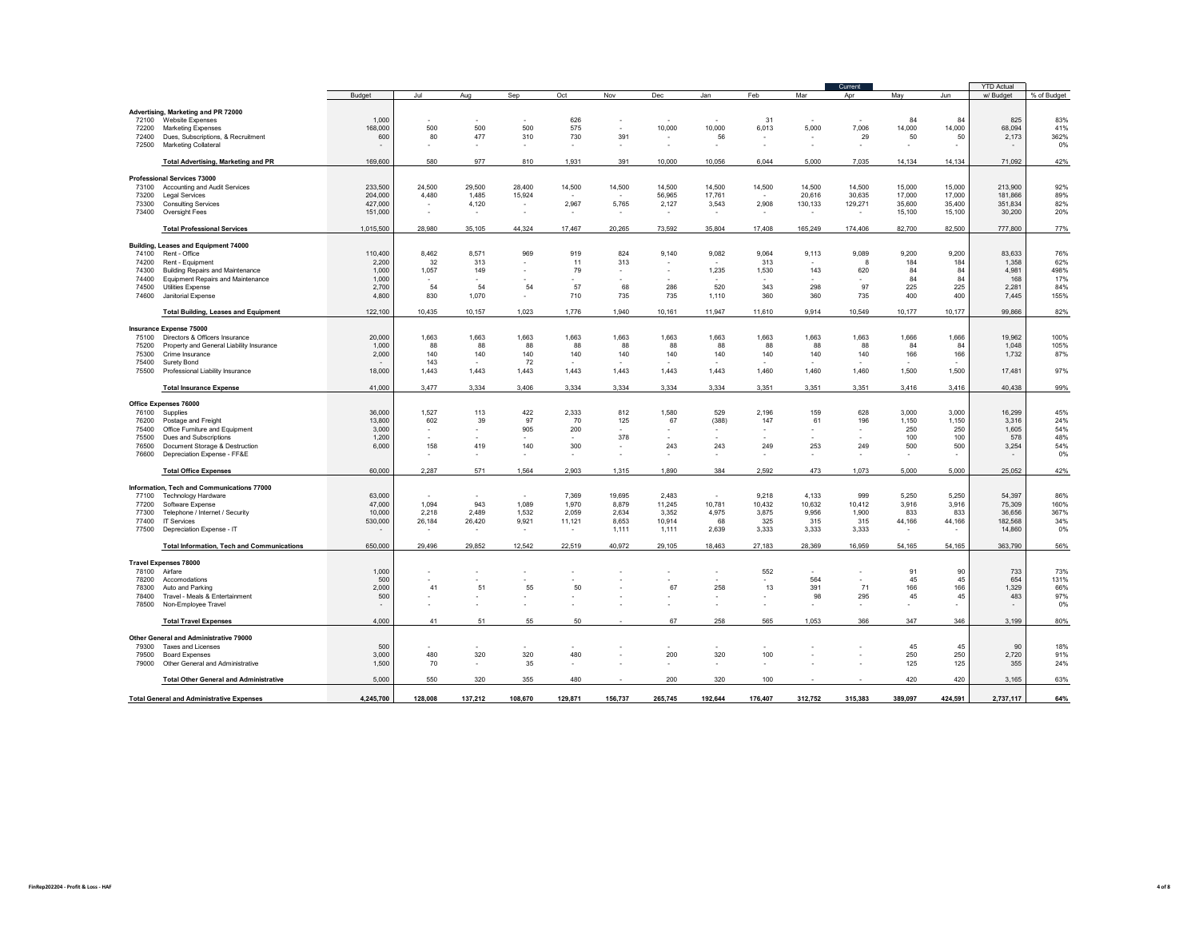|                |                                                   |                          |                          |                          |                          |                          |                          |                          |         |                          |                          | Current                  |         |              | <b>YTD Actual</b> |             |
|----------------|---------------------------------------------------|--------------------------|--------------------------|--------------------------|--------------------------|--------------------------|--------------------------|--------------------------|---------|--------------------------|--------------------------|--------------------------|---------|--------------|-------------------|-------------|
|                |                                                   | Budget                   | Jul                      | Aug                      | Sep                      | Oct                      | Nov                      | Dec                      | Jan     | Feb                      | Mar                      | Apr                      | May     | Jun          | w/ Budget         | % of Budget |
|                | Advertising, Marketing and PR 72000               |                          |                          |                          |                          |                          |                          |                          |         |                          |                          |                          |         |              |                   |             |
|                | 72100 Website Expenses                            | 1,000                    |                          |                          |                          | 626                      | ٠                        | - 1                      |         | 31                       | ٠.                       | $\mathbf{r}$             | 84      | 84           | 825               | 83%         |
| 72200          | <b>Marketing Expenses</b>                         | 168,000                  | 500                      | 500                      | 500                      | 575                      | $\sim$                   | 10,000                   | 10,000  | 6,013                    | 5,000                    | 7,006                    | 14,000  | 14,000       | 68,094            | 41%         |
| 72400          | Dues, Subscriptions, & Recruitment                | 600                      | 80                       | 477                      | 310                      | 730                      | 391                      | $\sim$                   | 56      | $\overline{\phantom{a}}$ | $\overline{\phantom{a}}$ | 29                       | 50      | 50           | 2,173             | 362%        |
| 72500          | Marketing Collateral                              |                          | ×.                       |                          |                          |                          |                          | $\epsilon$               |         | $\epsilon$               | ×.                       | ٠                        |         | ×.           |                   | 0%          |
|                |                                                   |                          |                          |                          |                          |                          |                          |                          |         |                          |                          |                          |         |              |                   |             |
|                | <b>Total Advertising, Marketing and PR</b>        | 169,600                  | 580                      | 977                      | 810                      | 1,931                    | 391                      | 10,000                   | 10,056  | 6,044                    | 5,000                    | 7,035                    | 14,134  | 14,134       | 71,092            | 42%         |
|                | <b>Professional Services 73000</b>                |                          |                          |                          |                          |                          |                          |                          |         |                          |                          |                          |         |              |                   |             |
| 73100          | Accounting and Audit Services                     | 233,500                  | 24,500                   | 29,500                   | 28,400                   | 14,500                   | 14,500                   | 14,500                   | 14,500  | 14,500                   | 14,500                   | 14,500                   | 15,000  | 15,000       | 213,900           | 92%         |
| 73200          | <b>Legal Services</b>                             | 204.000                  | 4,480                    | 1.485                    | 15,924                   |                          |                          | 56.965                   | 17.761  |                          | 20.616                   | 30.635                   | 17,000  | 17,000       | 181.866           | 89%         |
| 73300          | <b>Consulting Services</b>                        | 427,000                  | $\overline{\phantom{a}}$ | 4,120                    | $\sim$                   | 2,967                    | 5,765                    | 2,127                    | 3,543   | 2,908                    | 130,133                  | 129,271                  | 35,600  | 35,400       | 351,834           | 82%         |
| 73400          | Oversight Fees                                    | 151,000                  | ×.                       | $\sim$                   |                          | ٠.                       | $\overline{\phantom{a}}$ |                          |         |                          | ٠                        | $\sim$                   | 15,100  | 15,100       | 30,200            | 20%         |
|                | <b>Total Professional Services</b>                | 1,015,500                | 28,980                   | 35,105                   | 44,324                   | 17,467                   | 20,265                   | 73.592                   | 35,804  | 17,408                   | 165,249                  | 174,406                  | 82,700  | 82,500       | 777,800           | 77%         |
|                | Building, Leases and Equipment 74000              |                          |                          |                          |                          |                          |                          |                          |         |                          |                          |                          |         |              |                   |             |
| 74100          | Rent - Office                                     | 110,400                  | 8,462                    | 8.571                    | 969                      | 919                      | 824                      | 9,140                    | 9,082   | 9.064                    | 9,113                    | 9,089                    | 9.200   | 9,200        | 83.633            | 76%         |
| 74200          | Rent - Equipment                                  | 2,200                    | 32                       | 313                      |                          | 11                       | 313                      |                          |         | 313                      |                          | 8                        | 184     | 184          | 1,358             | 62%         |
| 74300          | <b>Building Repairs and Maintenance</b>           | 1.000                    | 1,057                    | 149                      |                          | 79                       |                          | ٠                        | 1,235   | 1,530                    | 143                      | 620                      | 84      | 84           | 4.981             | 498%        |
| 74400          | <b>Equipment Repairs and Maintenance</b>          | 1,000                    |                          |                          |                          |                          |                          |                          |         |                          |                          |                          | 84      | 84           | 168               | 17%         |
| 74500<br>74600 | Utilities Expense                                 | 2,700                    | 54                       | 54                       | 54                       | 57                       | 68                       | 286                      | 520     | 343                      | 298<br>360               | 97                       | 225     | 225          | 2,281             | 84%         |
|                | Janitorial Expense                                | 4,800                    | 830                      | 1,070                    |                          | 710                      | 735                      | 735                      | 1,110   | 360                      |                          | 735                      | 400     | 400          | 7,445             | 155%        |
|                | <b>Total Building, Leases and Equipment</b>       | 122,100                  | 10,435                   | 10,157                   | 1,023                    | 1,776                    | 1,940                    | 10,161                   | 11,947  | 11,610                   | 9,914                    | 10,549                   | 10,177  | 10,177       | 99,866            | 82%         |
|                | <b>Insurance Expense 75000</b>                    |                          |                          |                          |                          |                          |                          |                          |         |                          |                          |                          |         |              |                   |             |
| 75100          | Directors & Officers Insurance                    | 20,000                   | 1,663                    | 1,663                    | 1,663                    | 1,663                    | 1,663                    | 1,663                    | 1,663   | 1,663                    | 1,663                    | 1,663                    | 1,666   | 1,666        | 19,962            | 100%        |
| 75200          | Property and General Liability Insurance          | 1,000                    | 88                       | 88                       | 88                       | 88                       | 88                       | 88                       | 88      | 88                       | 88                       | 88                       | 84      | 84           | 1,048             | 105%        |
| 75300          | Crime Insurance                                   | 2,000                    | 140                      | 140                      | 140                      | 140                      | 140                      | 140                      | 140     | 140                      | 140                      | 140                      | 166     | 166          | 1,732             | 87%         |
| 75400          | Surety Bond                                       |                          | 143                      | $\mathbf{r}$             | 72                       |                          |                          |                          |         |                          |                          | ٠.                       | $\sim$  | $\mathbf{r}$ |                   |             |
| 75500          | Professional Liability Insurance                  | 18,000                   | 1,443                    | 1,443                    | 1,443                    | 1,443                    | 1,443                    | 1,443                    | 1,443   | 1,460                    | 1,460                    | 1,460                    | 1,500   | 1,500        | 17,481            | 97%         |
|                | <b>Total Insurance Expense</b>                    | 41.000                   | 3.477                    | 3.334                    | 3.406                    | 3.334                    | 3.334                    | 3.334                    | 3.334   | 3.351                    | 3,351                    | 3,351                    | 3.416   | 3.416        | 40.438            | 99%         |
|                |                                                   |                          |                          |                          |                          |                          |                          |                          |         |                          |                          |                          |         |              |                   |             |
| 76100          | Office Expenses 76000<br>Supplies                 | 36,000                   | 1,527                    | 113                      | 422                      | 2,333                    | 812                      | 1,580                    | 529     | 2,196                    | 159                      | 628                      | 3.000   | 3,000        | 16.299            | 45%         |
| 76200          | Postage and Freight                               | 13,800                   | 602                      | 39                       | 97                       | 70                       | 125                      | 67                       | (388)   | 147                      | 61                       | 196                      | 1,150   | 1,150        | 3,316             | 24%         |
| 75400          | Office Furniture and Equipment                    | 3,000                    | $\overline{\phantom{a}}$ | $\sim$                   | 905                      | 200                      | $\mathbf{r}$             | ٠.                       |         | $\sim$                   | ٠                        | $\sim$                   | 250     | 250          | 1,605             | 54%         |
| 75500          | Dues and Subscriptions                            | 1,200                    | $\sim$                   | $\sim$                   | $\sim$                   | $\sim$                   | 378                      | $\mathbf{r}$             |         |                          | ٠                        | $\mathbf{r}$             | 100     | 100          | 578               | 48%         |
| 76500          | Document Storage & Destruction                    | 6,000                    | 158                      | 419                      | 140                      | 300                      | $\overline{\phantom{a}}$ | 243                      | 243     | 249                      | 253                      | 249                      | 500     | 500          | 3,254             | 54%         |
| 76600          | Depreciation Expense - FF&E                       |                          | $\overline{\phantom{a}}$ |                          | $\overline{\phantom{a}}$ | $\overline{\phantom{a}}$ |                          | $\overline{\phantom{a}}$ |         | $\sim$                   | $\overline{\phantom{a}}$ | ٠                        | $\sim$  | $\sim$       |                   | 0%          |
|                | <b>Total Office Expenses</b>                      | 60,000                   | 2,287                    | 571                      | 1,564                    | 2.903                    | 1,315                    | 1,890                    | 384     | 2.592                    | 473                      | 1,073                    | 5,000   | 5,000        | 25,052            | 42%         |
|                | Information, Tech and Communications 77000        |                          |                          |                          |                          |                          |                          |                          |         |                          |                          |                          |         |              |                   |             |
| 77100          | <b>Technology Hardware</b>                        | 63,000                   |                          |                          | ۰.                       | 7,369                    | 19,695                   | 2,483                    | $\sim$  | 9,218                    | 4,133                    | 999                      | 5,250   | 5,250        | 54,397            | 86%         |
| 77200          | Software Expense                                  | 47,000                   | 1,094                    | 943                      | 1,089                    | 1,970                    | 8,879                    | 11,245                   | 10,781  | 10,432                   | 10,632                   | 10,412                   | 3,916   | 3,916        | 75,309            | 160%        |
| 77300          | Telephone / Internet / Security                   | 10,000                   | 2,218                    | 2,489                    | 1,532                    | 2,059                    | 2,634                    | 3,352                    | 4,975   | 3,875                    | 9,956                    | 1,900                    | 833     | 833          | 36,656            | 367%        |
| 77400          | <b>IT Services</b>                                | 530,000                  | 26,184                   | 26,420                   | 9,921                    | 11,121                   | 8,653                    | 10,914                   | 68      | 325                      | 315                      | 315                      | 44,166  | 44,166       | 182,568           | 34%         |
| 77500          | Depreciation Expense - IT                         | $\overline{\phantom{a}}$ | $\overline{\phantom{a}}$ | $\overline{\phantom{a}}$ | $\sim$                   | $\sim$                   | 1,111                    | 1,111                    | 2,639   | 3,333                    | 3,333                    | 3,333                    |         |              | 14,860            | 0%          |
|                | <b>Total Information, Tech and Communications</b> | 650,000                  | 29,496                   | 29,852                   | 12,542                   | 22,519                   | 40,972                   | 29,105                   | 18,463  | 27,183                   | 28,369                   | 16,959                   | 54,165  | 54,165       | 363,790           | 56%         |
|                | <b>Travel Expenses 78000</b>                      |                          |                          |                          |                          |                          |                          |                          |         |                          |                          |                          |         |              |                   |             |
| 78100          | Airfare                                           | 1,000                    | ٠                        |                          |                          |                          |                          |                          |         | 552                      | ä,                       | $\overline{\phantom{a}}$ | 91      | 90           | 733               | 73%         |
| 78200          | Accomodations                                     | 500                      |                          |                          |                          |                          |                          |                          |         | ٠                        | 564                      | ×.                       | 45      | 45           | 654               | 131%        |
| 78300          | Auto and Parking                                  | 2,000                    | 41                       | 51                       | 55                       | 50                       |                          | 67                       | 258     | 13                       | 391                      | 71                       | 166     | 166          | 1,329             | 66%         |
| 78400          | Travel - Meals & Entertainment                    | 500                      | $\overline{\phantom{a}}$ |                          | $\overline{\phantom{a}}$ | ä,                       |                          |                          |         |                          | 98                       | 295                      | 45      | 45           | 483               | 97%         |
| 78500          | Non-Employee Travel                               | $\overline{\phantom{a}}$ | ×.                       |                          | ×.                       |                          |                          |                          |         | ×,                       | ٠                        | $\sim$                   | $\sim$  | ٠            | $\sim$            | 0%          |
|                | <b>Total Travel Expenses</b>                      | 4,000                    | 41                       | 51                       | 55                       | 50                       |                          | 67                       | 258     | 565                      | 1,053                    | 366                      | 347     | 346          | 3,199             | 80%         |
|                | Other General and Administrative 79000            |                          |                          |                          |                          |                          |                          |                          |         |                          |                          |                          |         |              |                   |             |
| 79300          | Taxes and Licenses                                | 500                      |                          |                          |                          |                          |                          |                          |         |                          |                          |                          | 45      | 45           | 90                | 18%         |
| 79500          | <b>Board Expenses</b>                             | 3,000                    | 480                      | 320                      | 320                      | 480                      |                          | 200                      | 320     | 100                      |                          | ×,                       | 250     | 250          | 2,720             | 91%         |
| 79000          | Other General and Administrative                  | 1,500                    | 70                       | $\sim$                   | 35                       | ٠                        |                          | $\sim$                   | $\sim$  | ٠                        |                          | $\overline{\phantom{a}}$ | 125     | 125          | 355               | 24%         |
|                | <b>Total Other General and Administrative</b>     | 5,000                    | 550                      | 320                      | 355                      | 480                      |                          | 200                      | 320     | 100                      |                          |                          | 420     | 420          | 3,165             | 63%         |
|                |                                                   |                          |                          |                          |                          |                          |                          |                          |         |                          |                          |                          |         |              |                   |             |
|                | <b>Total General and Administrative Expenses</b>  | 4,245,700                | 128,008                  | 137,212                  | 108,670                  | 129,871                  | 156.737                  | 265,745                  | 192,644 | 176.407                  | 312,752                  | 315,383                  | 389,097 | 424,591      | 2,737,117         | 64%         |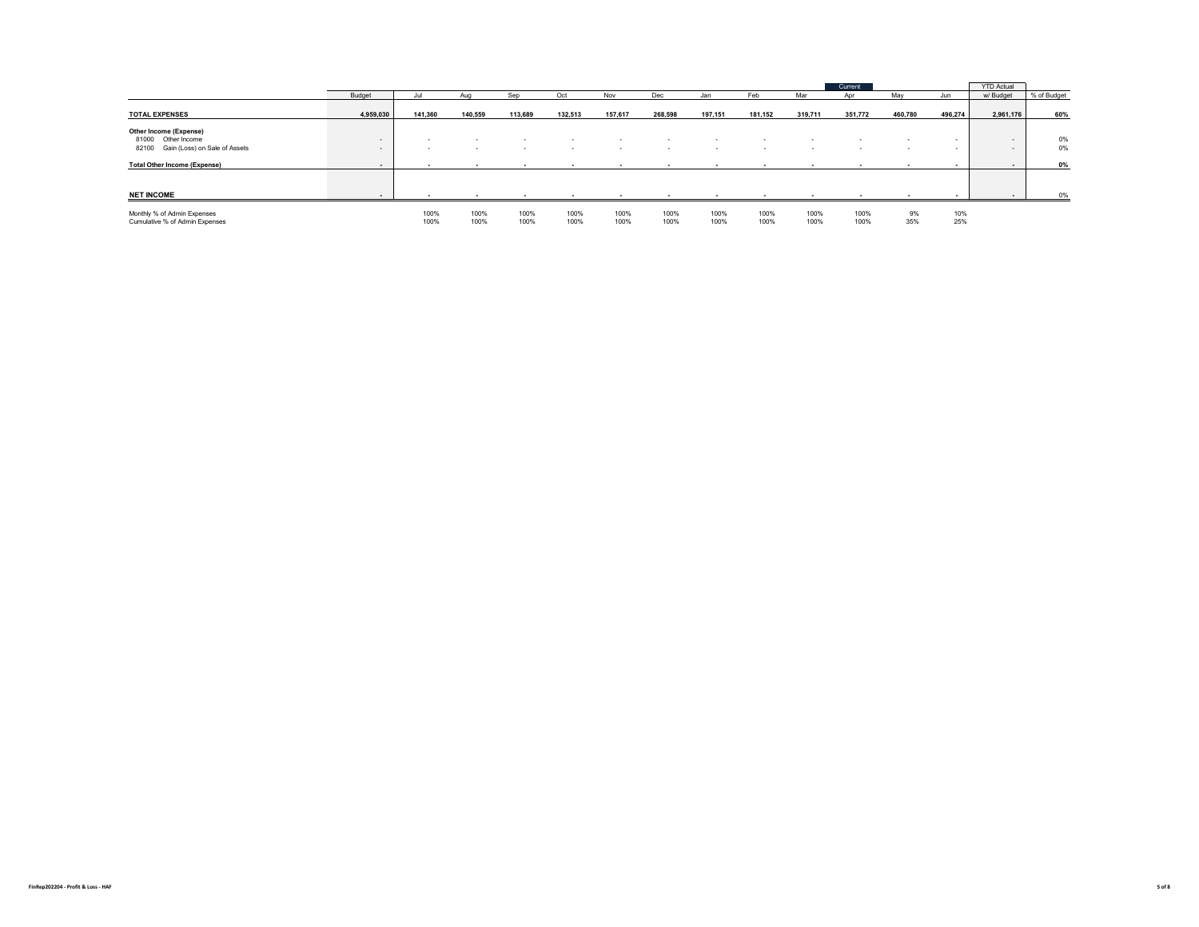|                                                                                        |                  |              |              |                          |              |              |              |              |              |              | Current <sup>1</sup> |           |            | <b>YTD Actual</b> |             |
|----------------------------------------------------------------------------------------|------------------|--------------|--------------|--------------------------|--------------|--------------|--------------|--------------|--------------|--------------|----------------------|-----------|------------|-------------------|-------------|
|                                                                                        | Budget           |              | Aug          | Sep                      | Oct          | Nov          | Dec          | Jan          | Feb          | Mar          |                      | May       | Jun        | w/ Budget         | % of Budget |
| <b>TOTAL EXPENSES</b>                                                                  | 4,959,030        | 141,360      | 140.559      | 113,689                  | 132,513      | 157,617      | 268,598      | 197,151      | 181,152      | 319,711      | 351,772              | 460,780   | 496,274    | 2,961,176         | 60%         |
| Other Income (Expense)<br>81000 Other Income<br>Gain (Loss) on Sale of Assets<br>82100 | $\sim$<br>$\sim$ |              | $\mathbf{r}$ | $\overline{\phantom{a}}$ | . .          |              | . .          | . .          |              |              |                      |           | $\sim$     | $\sim$<br>$\sim$  | 0%<br>0%    |
| <b>Total Other Income (Expense)</b>                                                    | $\sim$           |              |              |                          |              |              |              |              |              |              |                      |           |            |                   | 0%          |
| <b>NET INCOME</b>                                                                      |                  |              |              |                          |              |              |              |              |              |              |                      |           |            |                   | 0%          |
| Monthly % of Admin Expenses<br>Cumulative % of Admin Expenses                          |                  | 100%<br>100% | 100%<br>100% | 100%<br>100%             | 100%<br>100% | 100%<br>100% | 100%<br>100% | 100%<br>100% | 100%<br>100% | 100%<br>100% | 100%<br>100%         | 9%<br>35% | 10%<br>25% |                   |             |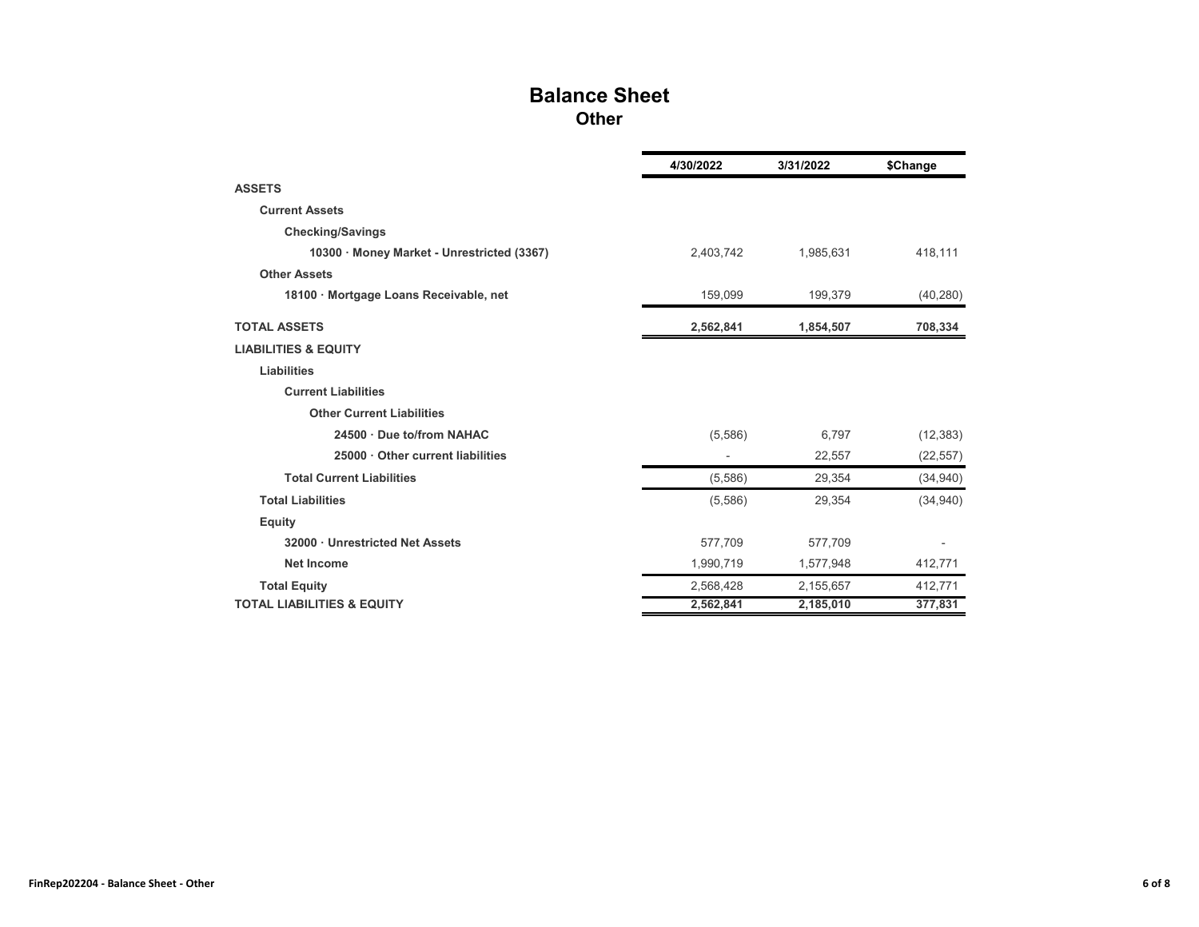### **Balance Sheet Other**

|                                            | 4/30/2022 | 3/31/2022 | \$Change  |
|--------------------------------------------|-----------|-----------|-----------|
| <b>ASSETS</b>                              |           |           |           |
| <b>Current Assets</b>                      |           |           |           |
| <b>Checking/Savings</b>                    |           |           |           |
| 10300 · Money Market - Unrestricted (3367) | 2,403,742 | 1,985,631 | 418,111   |
| <b>Other Assets</b>                        |           |           |           |
| 18100 · Mortgage Loans Receivable, net     | 159,099   | 199,379   | (40, 280) |
| <b>TOTAL ASSETS</b>                        | 2,562,841 | 1,854,507 | 708,334   |
| <b>LIABILITIES &amp; EQUITY</b>            |           |           |           |
| Liabilities                                |           |           |           |
| <b>Current Liabilities</b>                 |           |           |           |
| <b>Other Current Liabilities</b>           |           |           |           |
| 24500 · Due to/from NAHAC                  | (5,586)   | 6,797     | (12, 383) |
| 25000 Other current liabilities            |           | 22,557    | (22, 557) |
| <b>Total Current Liabilities</b>           | (5,586)   | 29,354    | (34,940)  |
| <b>Total Liabilities</b>                   | (5,586)   | 29,354    | (34,940)  |
| <b>Equity</b>                              |           |           |           |
| 32000 · Unrestricted Net Assets            | 577,709   | 577,709   |           |
| <b>Net Income</b>                          | 1,990,719 | 1,577,948 | 412,771   |
| <b>Total Equity</b>                        | 2,568,428 | 2,155,657 | 412,771   |
| <b>TOTAL LIABILITIES &amp; EQUITY</b>      | 2,562,841 | 2,185,010 | 377,831   |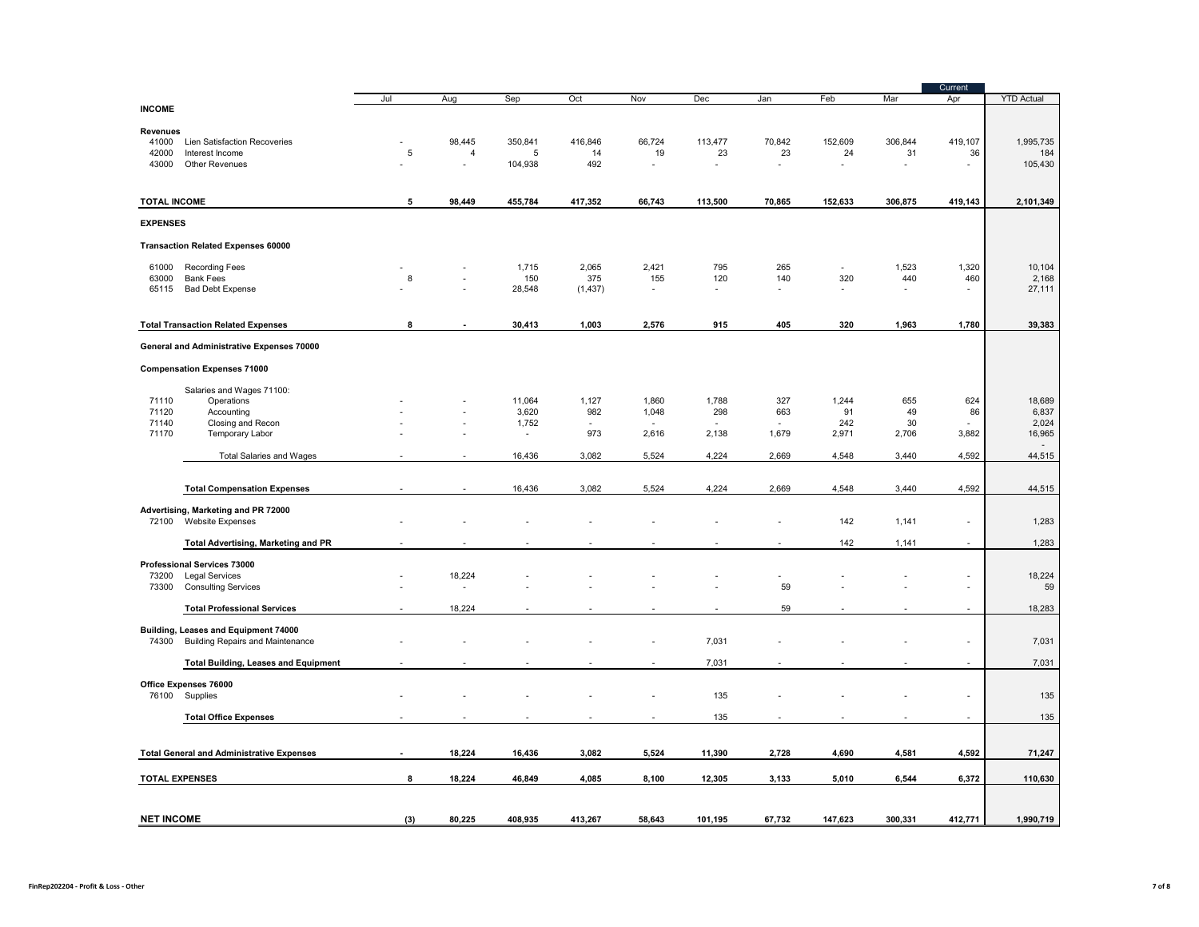|                       |                                                                |             |        |                 |               |                          |                          |                |                |         | Current                  |                   |
|-----------------------|----------------------------------------------------------------|-------------|--------|-----------------|---------------|--------------------------|--------------------------|----------------|----------------|---------|--------------------------|-------------------|
|                       |                                                                | Jul         | Aug    | Sep             | Oct           | Nov                      | Dec                      | Jan            | Feb            | Mar     | Apr                      | <b>YTD Actual</b> |
| <b>INCOME</b>         |                                                                |             |        |                 |               |                          |                          |                |                |         |                          |                   |
| Revenues              |                                                                |             |        |                 |               |                          |                          |                |                |         |                          |                   |
| 41000                 | Lien Satisfaction Recoveries                                   |             | 98,445 | 350,841         | 416,846       | 66,724                   | 113,477                  | 70,842         | 152,609        | 306,844 | 419,107                  | 1,995,735         |
| 42000                 | Interest Income                                                | $\,$ 5 $\,$ | 4      | 5               | 14            | 19                       | 23                       | 23             | 24             | 31      | 36                       | 184               |
| 43000                 | <b>Other Revenues</b>                                          |             | L.     | 104,938         | 492           | $\overline{\phantom{a}}$ | $\sim$                   | ÷.             | ÷,             | L.      | ÷,                       | 105,430           |
|                       |                                                                |             |        |                 |               |                          |                          |                |                |         |                          |                   |
| <b>TOTAL INCOME</b>   |                                                                | 5           | 98,449 | 455,784         | 417,352       | 66,743                   | 113,500                  | 70,865         | 152,633        | 306,875 | 419,143                  | 2,101,349         |
|                       |                                                                |             |        |                 |               |                          |                          |                |                |         |                          |                   |
| <b>EXPENSES</b>       |                                                                |             |        |                 |               |                          |                          |                |                |         |                          |                   |
|                       | <b>Transaction Related Expenses 60000</b>                      |             |        |                 |               |                          |                          |                |                |         |                          |                   |
| 61000                 | <b>Recording Fees</b>                                          |             |        | 1,715           | 2,065         | 2,421                    | 795                      | 265            | $\sim$         | 1,523   | 1,320                    | 10,104            |
| 63000                 | <b>Bank Fees</b>                                               | 8           |        | 150             | 375           | 155                      | 120                      | 140            | 320            | 440     | 460                      | 2,168             |
| 65115                 | <b>Bad Debt Expense</b>                                        |             |        | 28,548          | (1, 437)      |                          | $\overline{\phantom{a}}$ |                | $\overline{a}$ |         | $\overline{\phantom{a}}$ | 27,111            |
|                       |                                                                |             |        |                 |               |                          |                          |                |                |         |                          |                   |
|                       | <b>Total Transaction Related Expenses</b>                      | 8           |        | 30,413          | 1,003         | 2,576                    | 915                      | 405            | 320            | 1,963   | 1,780                    | 39,383            |
|                       | General and Administrative Expenses 70000                      |             |        |                 |               |                          |                          |                |                |         |                          |                   |
|                       |                                                                |             |        |                 |               |                          |                          |                |                |         |                          |                   |
|                       | <b>Compensation Expenses 71000</b>                             |             |        |                 |               |                          |                          |                |                |         |                          |                   |
|                       | Salaries and Wages 71100:                                      |             |        |                 |               |                          |                          |                |                |         |                          |                   |
| 71110                 | Operations                                                     |             |        | 11,064          | 1,127         | 1,860                    | 1,788                    | 327            | 1,244          | 655     | 624                      | 18,689            |
| 71120                 | Accounting                                                     |             |        | 3,620           | 982           | 1,048                    | 298                      | 663            | 91             | 49      | 86                       | 6,837             |
| 71140<br>71170        | Closing and Recon                                              |             |        | 1,752<br>$\sim$ | $\sim$<br>973 |                          |                          |                | 242            | 30      |                          | 2,024             |
|                       | Temporary Labor                                                |             |        |                 |               | 2,616                    | 2,138                    | 1,679          | 2,971          | 2,706   | 3,882                    | 16,965            |
|                       | <b>Total Salaries and Wages</b>                                |             |        | 16,436          | 3,082         | 5,524                    | 4,224                    | 2,669          | 4,548          | 3,440   | 4,592                    | 44,515            |
|                       |                                                                |             |        |                 |               |                          |                          |                |                |         |                          |                   |
|                       | <b>Total Compensation Expenses</b>                             |             |        | 16,436          | 3,082         | 5,524                    | 4,224                    | 2,669          | 4,548          | 3,440   | 4,592                    | 44,515            |
|                       |                                                                |             |        |                 |               |                          |                          |                |                |         |                          |                   |
| 72100                 | Advertising, Marketing and PR 72000<br><b>Website Expenses</b> |             |        |                 |               |                          |                          |                | 142            | 1,141   | $\overline{\phantom{a}}$ | 1,283             |
|                       |                                                                |             |        |                 |               |                          |                          |                |                |         |                          |                   |
|                       | <b>Total Advertising, Marketing and PR</b>                     |             |        |                 |               |                          |                          |                | 142            | 1,141   | $\overline{\phantom{a}}$ | 1,283             |
|                       | Professional Services 73000                                    |             |        |                 |               |                          |                          |                |                |         |                          |                   |
| 73200                 | <b>Legal Services</b>                                          |             | 18,224 |                 |               |                          |                          | $\overline{a}$ |                |         | Ĭ.                       | 18,224            |
| 73300                 | <b>Consulting Services</b>                                     |             |        |                 |               |                          |                          | 59             |                |         | ä,                       | 59                |
|                       | <b>Total Professional Services</b>                             |             | 18,224 |                 |               |                          |                          | 59             |                |         | $\overline{a}$           | 18,283            |
|                       |                                                                |             |        |                 |               |                          |                          |                |                |         |                          |                   |
|                       | Building, Leases and Equipment 74000                           |             |        |                 |               |                          |                          |                |                |         |                          |                   |
| 74300                 | <b>Building Repairs and Maintenance</b>                        |             |        |                 |               |                          | 7,031                    |                |                |         |                          | 7,031             |
|                       | <b>Total Building, Leases and Equipment</b>                    |             |        |                 |               |                          | 7,031                    |                |                |         |                          | 7,031             |
|                       |                                                                |             |        |                 |               |                          |                          |                |                |         |                          |                   |
| 76100                 | Office Expenses 76000<br>Supplies                              |             |        |                 |               |                          | 135                      |                |                |         | Ĭ.                       | 135               |
|                       |                                                                |             |        |                 |               |                          |                          |                |                |         |                          |                   |
|                       | <b>Total Office Expenses</b>                                   |             |        |                 |               | $\overline{\phantom{a}}$ | 135                      |                |                |         | $\overline{\phantom{a}}$ | 135               |
|                       |                                                                |             |        |                 |               |                          |                          |                |                |         |                          |                   |
|                       | <b>Total General and Administrative Expenses</b>               |             | 18,224 | 16,436          | 3,082         | 5,524                    | 11,390                   | 2,728          | 4,690          | 4,581   | 4,592                    | 71,247            |
| <b>TOTAL EXPENSES</b> |                                                                | 8           | 18,224 | 46,849          | 4,085         | 8,100                    | 12,305                   | 3,133          | 5,010          | 6,544   | 6,372                    | 110,630           |
|                       |                                                                |             |        |                 |               |                          |                          |                |                |         |                          |                   |
|                       |                                                                |             |        |                 |               |                          |                          |                |                |         |                          |                   |
| <b>NET INCOME</b>     |                                                                | (3)         | 80,225 | 408,935         | 413,267       | 58,643                   | 101,195                  | 67,732         | 147,623        | 300,331 | 412,771                  | 1,990,719         |